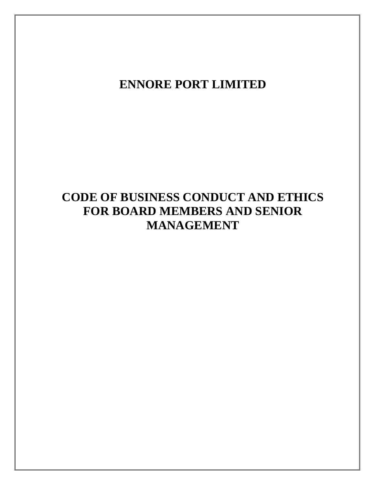## **ENNORE PORT LIMITED**

# **CODE OF BUSINESS CONDUCT AND ETHICS FOR BOARD MEMBERS AND SENIOR MANAGEMENT**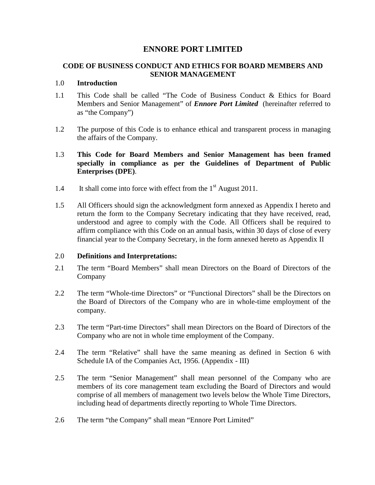## **ENNORE PORT LIMITED**

## **CODE OF BUSINESS CONDUCT AND ETHICS FOR BOARD MEMBERS AND SENIOR MANAGEMENT**

#### 1.0 **Introduction**

- 1.1 This Code shall be called "The Code of Business Conduct & Ethics for Board Members and Senior Management" of *Ennore Port Limited* (hereinafter referred to as "the Company")
- 1.2 The purpose of this Code is to enhance ethical and transparent process in managing the affairs of the Company.

## 1.3 **This Code for Board Members and Senior Management has been framed specially in compliance as per the Guidelines of Department of Public Enterprises (DPE)**.

- 1.4 It shall come into force with effect from the 1<sup>st</sup> August 2011.
- 1.5 All Officers should sign the acknowledgment form annexed as Appendix I hereto and return the form to the Company Secretary indicating that they have received, read, understood and agree to comply with the Code. All Officers shall be required to affirm compliance with this Code on an annual basis, within 30 days of close of every financial year to the Company Secretary, in the form annexed hereto as Appendix II

## 2.0 **Definitions and Interpretations:**

- 2.1 The term "Board Members" shall mean Directors on the Board of Directors of the Company
- 2.2 The term "Whole-time Directors" or "Functional Directors" shall be the Directors on the Board of Directors of the Company who are in whole-time employment of the company.
- 2.3 The term "Part-time Directors" shall mean Directors on the Board of Directors of the Company who are not in whole time employment of the Company.
- 2.4 The term "Relative" shall have the same meaning as defined in Section 6 with Schedule IA of the Companies Act, 1956. (Appendix - III)
- 2.5 The term "Senior Management" shall mean personnel of the Company who are members of its core management team excluding the Board of Directors and would comprise of all members of management two levels below the Whole Time Directors, including head of departments directly reporting to Whole Time Directors.
- 2.6 The term "the Company" shall mean "Ennore Port Limited"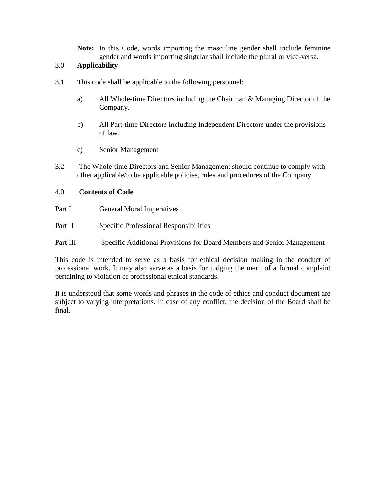**Note:** In this Code, words importing the masculine gender shall include feminine gender and words importing singular shall include the plural or vice-versa.

## 3.0 **Applicability**

- 3.1 This code shall be applicable to the following personnel:
	- a) All Whole-time Directors including the Chairman & Managing Director of the Company.
	- b) All Part-time Directors including Independent Directors under the provisions of law.
	- c) Senior Management
- 3.2 The Whole-time Directors and Senior Management should continue to comply with other applicable/to be applicable policies, rules and procedures of the Company.

#### 4.0 **Contents of Code**

- Part I General Moral Imperatives
- Part II Specific Professional Responsibilities
- Part III Specific Additional Provisions for Board Members and Senior Management

This code is intended to serve as a basis for ethical decision making in the conduct of professional work. It may also serve as a basis for judging the merit of a formal complaint pertaining to violation of professional ethical standards.

It is understood that some words and phrases in the code of ethics and conduct document are subject to varying interpretations. In case of any conflict, the decision of the Board shall be final.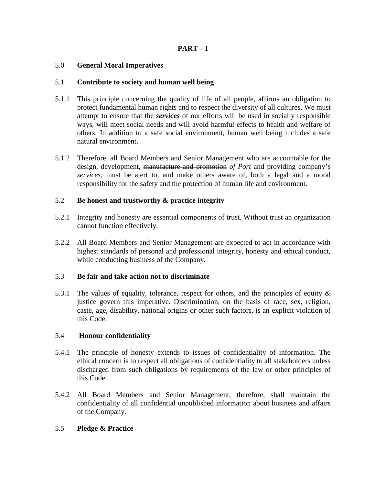## **PART – I**

## 5.0 **General Moral Imperatives**

#### 5.1 **Contribute to society and human well being**

- 5.1.1 This principle concerning the quality of life of all people, affirms an obligation to protect fundamental human rights and to respect the diversity of all cultures. We must attempt to ensure that the *services* of our efforts will be used in socially responsible ways, will meet social needs and will avoid harmful effects to health and welfare of others. In addition to a safe social environment, human well being includes a safe natural environment.
- 5.1.2 Therefore, all Board Members and Senior Management who are accountable for the design, development, manufacture and promotion *of Port* and providing company's *services*, must be alert to, and make others aware of, both a legal and a moral responsibility for the safety and the protection of human life and environment.

## 5.2 **Be honest and trustworthy & practice integrity**

- 5.2.1 Integrity and honesty are essential components of trust. Without trust an organization cannot function effectively.
- 5.2.2 All Board Members and Senior Management are expected to act in accordance with highest standards of personal and professional integrity, honesty and ethical conduct, while conducting business of the Company.

#### 5.3 **Be fair and take action not to discriminate**

5.3.1 The values of equality, tolerance, respect for others, and the principles of equity & justice govern this imperative. Discrimination, on the basis of race, sex, religion, caste, age, disability, national origins or other such factors, is an explicit violation of this Code.

#### 5.4 **Honour confidentiality**

- 5.4.1 The principle of honesty extends to issues of confidentiality of information. The ethical concern is to respect all obligations of confidentiality to all stakeholders unless discharged from such obligations by requirements of the law or other principles of this Code.
- 5.4.2 All Board Members and Senior Management, therefore, shall maintain the confidentiality of all confidential unpublished information about business and affairs of the Company.

## 5.5 **Pledge & Practice**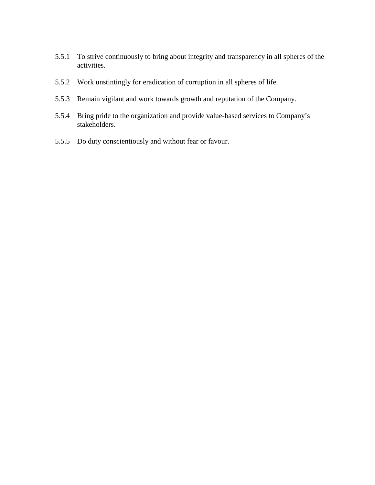- 5.5.1 To strive continuously to bring about integrity and transparency in all spheres of the activities.
- 5.5.2 Work unstintingly for eradication of corruption in all spheres of life.
- 5.5.3 Remain vigilant and work towards growth and reputation of the Company.
- 5.5.4 Bring pride to the organization and provide value-based services to Company's stakeholders.
- 5.5.5 Do duty conscientiously and without fear or favour.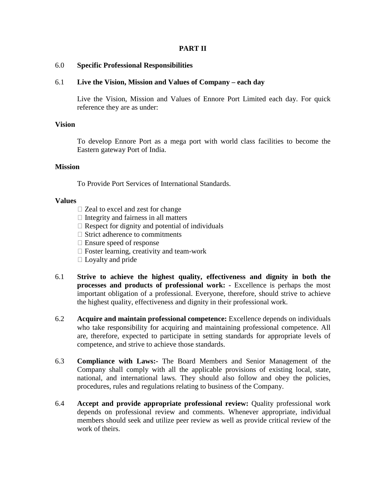#### **PART II**

#### 6.0 **Specific Professional Responsibilities**

#### 6.1 **Live the Vision, Mission and Values of Company – each day**

Live the Vision, Mission and Values of Ennore Port Limited each day. For quick reference they are as under:

#### **Vision**

To develop Ennore Port as a mega port with world class facilities to become the Eastern gateway Port of India.

#### **Mission**

To Provide Port Services of International Standards.

#### **Values**

- $\Box$  Zeal to excel and zest for change
- $\Box$  Integrity and fairness in all matters
- $\Box$  Respect for dignity and potential of individuals
- $\Box$  Strict adherence to commitments
- $\Box$  Ensure speed of response
- $\Box$  Foster learning, creativity and team-work
- $\Box$  Loyalty and pride
- 6.1 **Strive to achieve the highest quality, effectiveness and dignity in both the processes and products of professional work:** - Excellence is perhaps the most important obligation of a professional. Everyone, therefore, should strive to achieve the highest quality, effectiveness and dignity in their professional work.
- 6.2 **Acquire and maintain professional competence:** Excellence depends on individuals who take responsibility for acquiring and maintaining professional competence. All are, therefore, expected to participate in setting standards for appropriate levels of competence, and strive to achieve those standards.
- 6.3 **Compliance with Laws:-** The Board Members and Senior Management of the Company shall comply with all the applicable provisions of existing local, state, national, and international laws. They should also follow and obey the policies, procedures, rules and regulations relating to business of the Company.
- 6.4 **Accept and provide appropriate professional review:** Quality professional work depends on professional review and comments. Whenever appropriate, individual members should seek and utilize peer review as well as provide critical review of the work of theirs.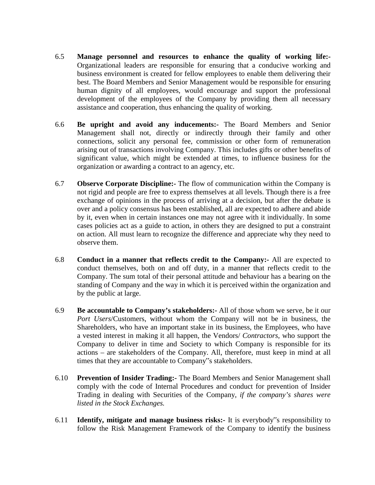- 6.5 **Manage personnel and resources to enhance the quality of working life:-**  Organizational leaders are responsible for ensuring that a conducive working and business environment is created for fellow employees to enable them delivering their best. The Board Members and Senior Management would be responsible for ensuring human dignity of all employees, would encourage and support the professional development of the employees of the Company by providing them all necessary assistance and cooperation, thus enhancing the quality of working.
- 6.6 **Be upright and avoid any inducements:-** The Board Members and Senior Management shall not, directly or indirectly through their family and other connections, solicit any personal fee, commission or other form of remuneration arising out of transactions involving Company. This includes gifts or other benefits of significant value, which might be extended at times, to influence business for the organization or awarding a contract to an agency, etc.
- 6.7 **Observe Corporate Discipline:-** The flow of communication within the Company is not rigid and people are free to express themselves at all levels. Though there is a free exchange of opinions in the process of arriving at a decision, but after the debate is over and a policy consensus has been established, all are expected to adhere and abide by it, even when in certain instances one may not agree with it individually. In some cases policies act as a guide to action, in others they are designed to put a constraint on action. All must learn to recognize the difference and appreciate why they need to observe them.
- 6.8 **Conduct in a manner that reflects credit to the Company:-** All are expected to conduct themselves, both on and off duty, in a manner that reflects credit to the Company. The sum total of their personal attitude and behaviour has a bearing on the standing of Company and the way in which it is perceived within the organization and by the public at large.
- 6.9 **Be accountable to Company's stakeholders:-** All of those whom we serve, be it our *Port Users*/Customers, without whom the Company will not be in business, the Shareholders, who have an important stake in its business, the Employees, who have a vested interest in making it all happen, the Vendors/ *Contractors*, who support the Company to deliver in time and Society to which Company is responsible for its actions – are stakeholders of the Company. All, therefore, must keep in mind at all times that they are accountable to Company"s stakeholders.
- 6.10 **Prevention of Insider Trading:-** The Board Members and Senior Management shall comply with the code of Internal Procedures and conduct for prevention of Insider Trading in dealing with Securities of the Company, *if the company's shares were listed in the Stock Exchanges.*
- 6.11 **Identify, mitigate and manage business risks:-** It is everybody"s responsibility to follow the Risk Management Framework of the Company to identify the business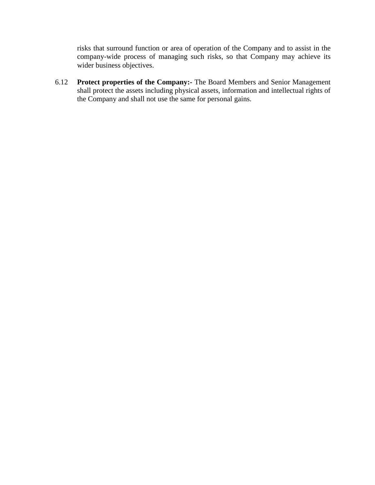risks that surround function or area of operation of the Company and to assist in the company-wide process of managing such risks, so that Company may achieve its wider business objectives.

6.12 **Protect properties of the Company:-** The Board Members and Senior Management shall protect the assets including physical assets, information and intellectual rights of the Company and shall not use the same for personal gains.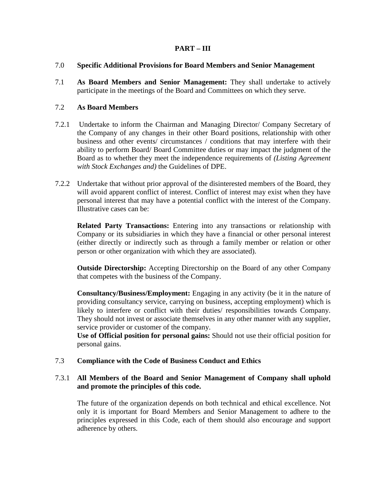## **PART – III**

## 7.0 **Specific Additional Provisions for Board Members and Senior Management**

7.1 **As Board Members and Senior Management:** They shall undertake to actively participate in the meetings of the Board and Committees on which they serve.

## 7.2 **As Board Members**

- 7.2.1 Undertake to inform the Chairman and Managing Director/ Company Secretary of the Company of any changes in their other Board positions, relationship with other business and other events/ circumstances / conditions that may interfere with their ability to perform Board/ Board Committee duties or may impact the judgment of the Board as to whether they meet the independence requirements of *(Listing Agreement with Stock Exchanges and)* the Guidelines of DPE.
- 7.2.2 Undertake that without prior approval of the disinterested members of the Board, they will avoid apparent conflict of interest. Conflict of interest may exist when they have personal interest that may have a potential conflict with the interest of the Company. Illustrative cases can be:

**Related Party Transactions:** Entering into any transactions or relationship with Company or its subsidiaries in which they have a financial or other personal interest (either directly or indirectly such as through a family member or relation or other person or other organization with which they are associated).

**Outside Directorship:** Accepting Directorship on the Board of any other Company that competes with the business of the Company.

**Consultancy/Business/Employment:** Engaging in any activity (be it in the nature of providing consultancy service, carrying on business, accepting employment) which is likely to interfere or conflict with their duties/ responsibilities towards Company. They should not invest or associate themselves in any other manner with any supplier, service provider or customer of the company.

**Use of Official position for personal gains:** Should not use their official position for personal gains.

#### 7.3 **Compliance with the Code of Business Conduct and Ethics**

## 7.3.1 **All Members of the Board and Senior Management of Company shall uphold and promote the principles of this code.**

The future of the organization depends on both technical and ethical excellence. Not only it is important for Board Members and Senior Management to adhere to the principles expressed in this Code, each of them should also encourage and support adherence by others.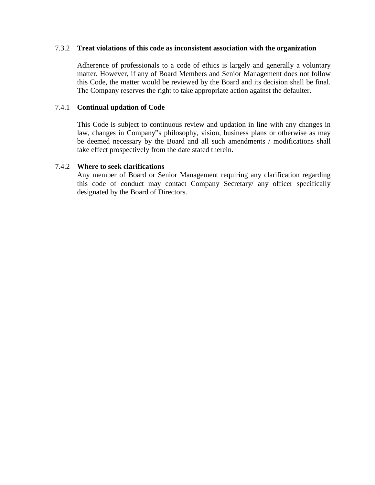#### 7.3.2 **Treat violations of this code as inconsistent association with the organization**

Adherence of professionals to a code of ethics is largely and generally a voluntary matter. However, if any of Board Members and Senior Management does not follow this Code, the matter would be reviewed by the Board and its decision shall be final. The Company reserves the right to take appropriate action against the defaulter.

## 7.4.1 **Continual updation of Code**

This Code is subject to continuous review and updation in line with any changes in law, changes in Company"s philosophy, vision, business plans or otherwise as may be deemed necessary by the Board and all such amendments / modifications shall take effect prospectively from the date stated therein.

#### 7.4.2 **Where to seek clarifications**

Any member of Board or Senior Management requiring any clarification regarding this code of conduct may contact Company Secretary/ any officer specifically designated by the Board of Directors.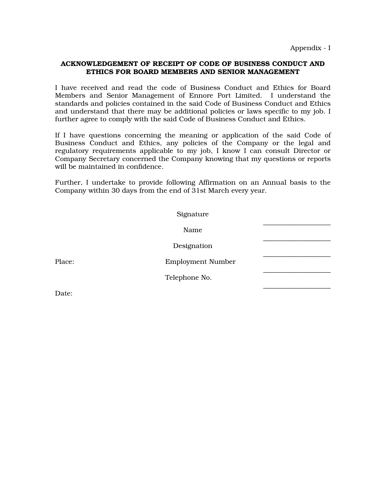Appendix - I

#### ACKNOWLEDGEMENT OF RECEIPT OF CODE OF BUSINESS CONDUCT AND ETHICS FOR BOARD MEMBERS AND SENIOR MANAGEMENT

I have received and read the code of Business Conduct and Ethics for Board Members and Senior Management of Ennore Port Limited. I understand the standards and policies contained in the said Code of Business Conduct and Ethics and understand that there may be additional policies or laws specific to my job. I further agree to comply with the said Code of Business Conduct and Ethics.

If I have questions concerning the meaning or application of the said Code of Business Conduct and Ethics, any policies of the Company or the legal and regulatory requirements applicable to my job, I know I can consult Director or Company Secretary concerned the Company knowing that my questions or reports will be maintained in confidence.

Further, I undertake to provide following Affirmation on an Annual basis to the Company within 30 days from the end of 31st March every year.

|        | Signature                |  |
|--------|--------------------------|--|
|        | Name                     |  |
|        | Designation              |  |
| Place: | <b>Employment Number</b> |  |
|        | Telephone No.            |  |
|        |                          |  |

Date: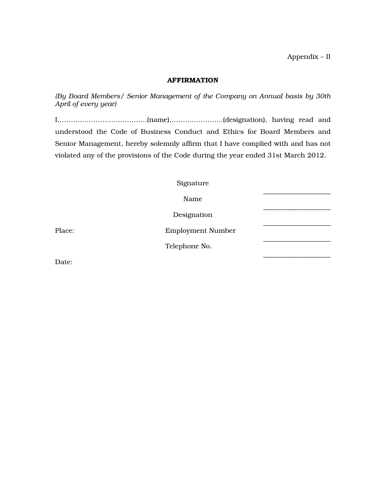#### AFFIRMATION

*(By Board Members/ Senior Management of the Company on Annual basis by 30th April of every year)* 

I,…………………………………(name),…………………..(designation), having read and understood the Code of Business Conduct and Ethics for Board Members and Senior Management, hereby solemnly affirm that I have complied with and has not violated any of the provisions of the Code during the year ended 31st March 2012.

|        | Signature                |  |
|--------|--------------------------|--|
|        | Name                     |  |
|        | Designation              |  |
| Place: | <b>Employment Number</b> |  |
|        | Telephone No.            |  |
|        |                          |  |

Date: